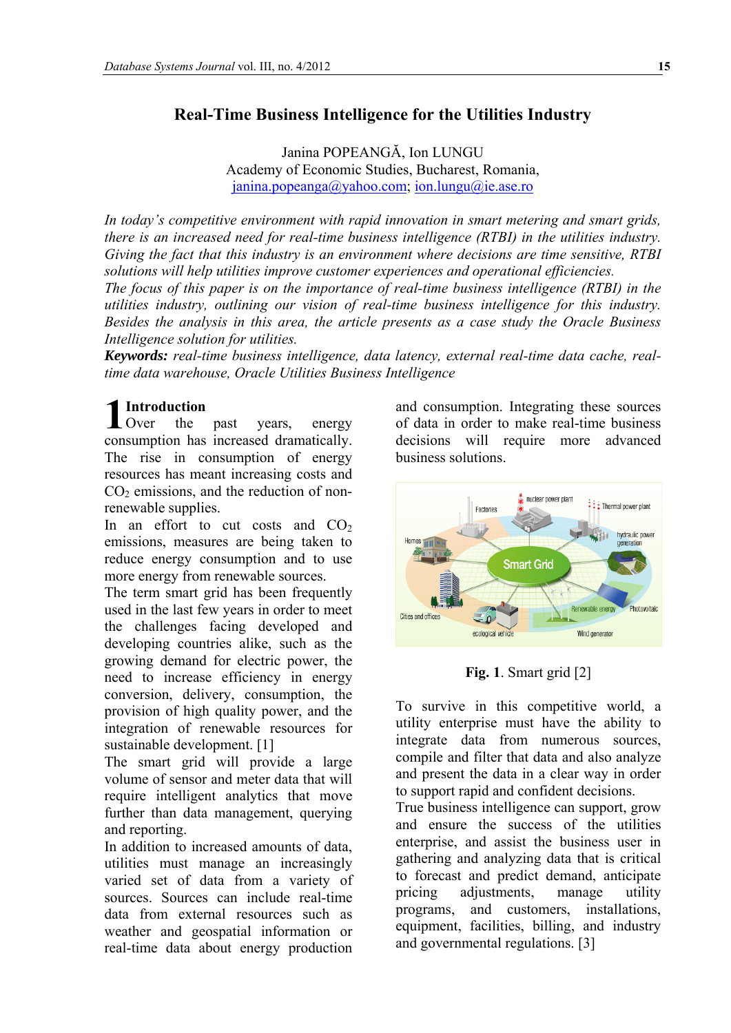# **Real-Time Business Intelligence for the Utilities Industry**

Janina POPEANGĂ, Ion LUNGU Academy of Economic Studies, Bucharest, Romania, [janina.popeanga@yahoo.com;](mailto:janina.popeanga@yahoo.com) ion.lungu@ie.ase.ro

*In today's competitive environment with rapid innovation in smart metering and smart grids, there is an increased need for real-time business intelligence (RTBI) in the utilities industry. Giving the fact that this industry is an environment where decisions are time sensitive, RTBI solutions will help utilities improve customer experiences and operational efficiencies. The focus of this paper is on the importance of real-time business intelligence (RTBI) in the utilities industry, outlining our vision of real-time business intelligence for this industry. Besides the analysis in this area, the article presents as a case study the Oracle Business Intelligence solution for utilities.* 

*Keywords: real-time business intelligence, data latency, external real-time data cache, realtime data warehouse, Oracle Utilities Business Intelligence* 

# **Introduction**

 $1^{\rm ln}_{\rm O}$ consu mption has increased dramatically. the past years, energy The rise in consumption of energy resources has meant increasing costs and  $CO<sub>2</sub>$  emissions, and the reduction of nonrenewable supplies.

In an effort to cut costs and  $CO<sub>2</sub>$ emissions, measures are being taken to reduce energy consumption and to use more energy from renewable sources.

The term smart grid has been frequently used in the last few years in order to meet the challenges facing developed and developing countries alike, such as the growing demand for electric power, the need to increase efficiency in energy conversion, delivery, consumption, the provision of high quality power, and the integration of renewable resources for sustainable development. [1]

The smart grid will provide a large volume of sensor and meter data that will require intelligent analytics that move further than data management, querying and reporting.

In addition to increased amounts of data, utilities must manage an increasingly varied set of data from a variety of sources. Sources can include real-time data from external resources such as weather and geospatial information or real-time data about energy production and consumption. Integrating these sources of data in order to make real-time business decisions will require more advanced business solutions.



**Fig. 1**. Smart grid [2]

To survive in this competitive world, a utility enterprise must have the ability to integrate data from numerous sources, compile and filter that data and also analyze and present the data in a clear way in order to support rapid and confident decisions.

True business intelligence can support, grow and ensure the success of the utilities enterprise, and assist the business user in gathering and analyzing data that is critical to forecast and predict demand, anticipate pricing adjustments, manage utility programs, and customers, installations, equipment, facilities, billing, and industry and governmental regulations. [3]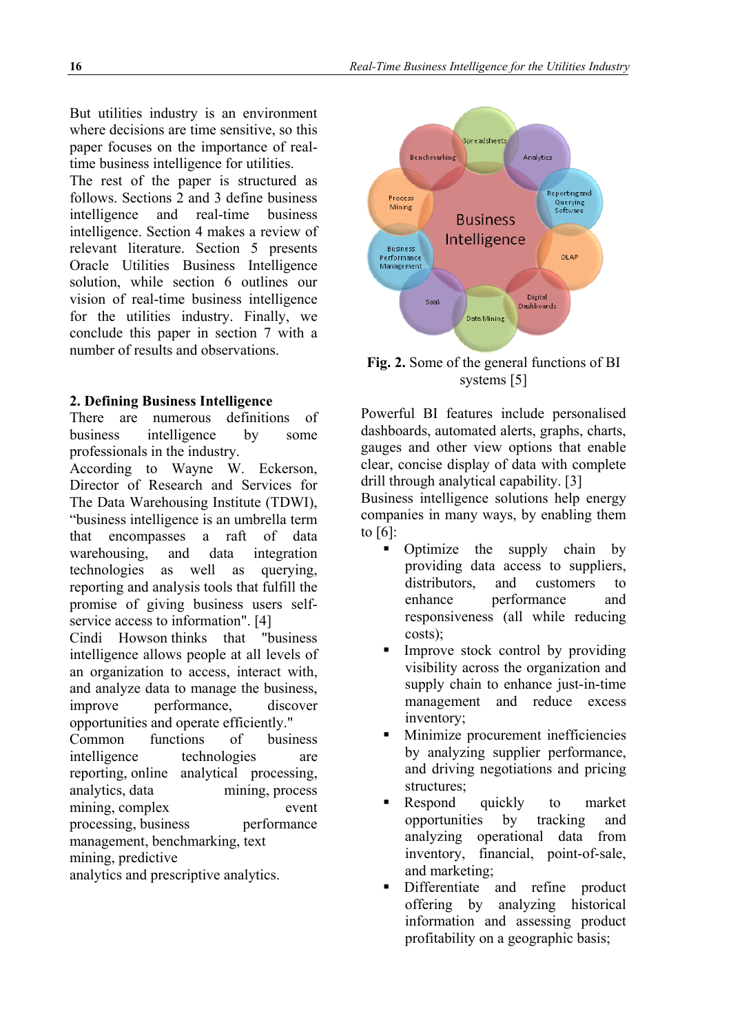But utilities industry is an environment where decisions are time sensitive, so this paper focuses on the importance of realtime business intelligence for utilities.

The rest of the paper is structured as follows. Sections 2 and 3 define business intelligence and real-time business intelligence. Section 4 makes a review of relevant literature. Section 5 presents Oracle Utilities Business Intelligence solution, while section 6 outlines our vision of real-time business intelligence for the utilities industry. Finally, we conclude this paper in section 7 with a number of results and observations.

#### **2. Defining Business Intelligence**

There are numerous definitions of business intelligence by some professionals in the industry.

According to Wayne W. Eckerson, Director of Research and Services for The Data Warehousing Institute (TDWI), "business intelligence is an umbrella term that encompasses a raft of data warehousing, and data integration technologies as well as querying, reporting and analysis tools that fulfill the promise of giving business users selfservice access to information". [4]

Cindi Howson thinks that "business intelligence allows people at all levels of an organization to access, interact with, and analyze data to manage the business, improve performance, discover opportunities and operate efficiently."

Common functions of business intelligence technologies are reporting, online analytical processing, analytics, data mining, process mining, complex event processing, business performance management, benchmarking, text mining, predictive

analytics and prescriptive analytics.



**Fig. 2.** Some of the general functions of BI systems [5]

Powerful BI features include personalised dashboards, automated alerts, graphs, charts, gauges and other view options that enable clear, concise display of data with complete drill through analytical capability. [3]

Business intelligence solutions help energy companies in many ways, by enabling them to [6]:

- Optimize the supply chain by providing data access to suppliers, distributors, and customers to enhance performance and responsiveness (all while reducing costs);
- Improve stock control by providing visibility across the organization and supply chain to enhance just-in-time management and reduce excess inventory;
- **Minimize procurement inefficiencies** by analyzing supplier performance, and driving negotiations and pricing structures;
- **Respond** quickly to market opportunities by tracking and analyzing operational data from inventory, financial, point-of-sale, and marketing;
- Differentiate and refine product offering by analyzing historical information and assessing product profitability on a geographic basis;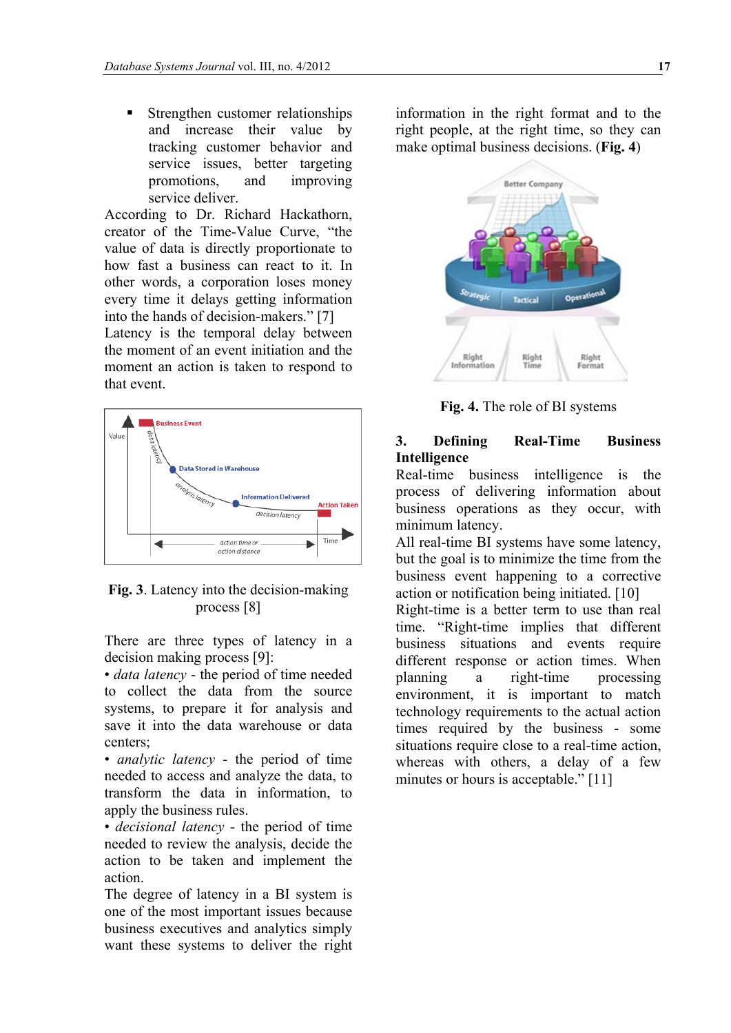**Strengthen customer relationships** and increase their value by tracking customer behavior and service issues, better targeting promotions, and improving service deliver.

According to Dr. Richard Hackathorn, creator of the Time-Value Curve, "the value of data is directly proportionate to how fast a business can react to it. In other words, a corporation loses money every time it delays getting information into the hands of decision-makers." [7]

Latency is the temporal delay between the moment of an event initiation and the moment an action is taken to respond to that event.



**Fig. 3**. Latency into the decision-making process [8]

There are three types of latency in a decision making process [9]:

• *data latency* - the period of time needed to collect the data from the source systems, to prepare it for analysis and save it into the data warehouse or data centers;

• *analytic latency* - the period of time needed to access and analyze the data, to transform the data in information, to apply the business rules.

• *decisional latency* - the period of time needed to review the analysis, decide the action to be taken and implement the action.

The degree of latency in a BI system is one of the most important issues because business executives and analytics simply want these systems to deliver the right

information in the right format and to the right people, at the right time, so they can make optimal business decisions. (**Fig. 4**)



**Fig. 4.** The role of BI systems

#### **3. Defining Real-Time Business Intelligence**

Real-time business intelligence is the process of delivering information about business operations as they occur, with minimum latency.

All real-time BI systems have some latency, but the goal is to minimize the time from the business event happening to a corrective action or notification being initiated. [10]

Right-time is a better term to use than real time. "Right-time implies that different business situations and events require different response or action times. When planning a right-time processing environment, it is important to match technology requirements to the actual action times required by the business - some situations require close to a real-time action, whereas with others, a delay of a few minutes or hours is acceptable." [11]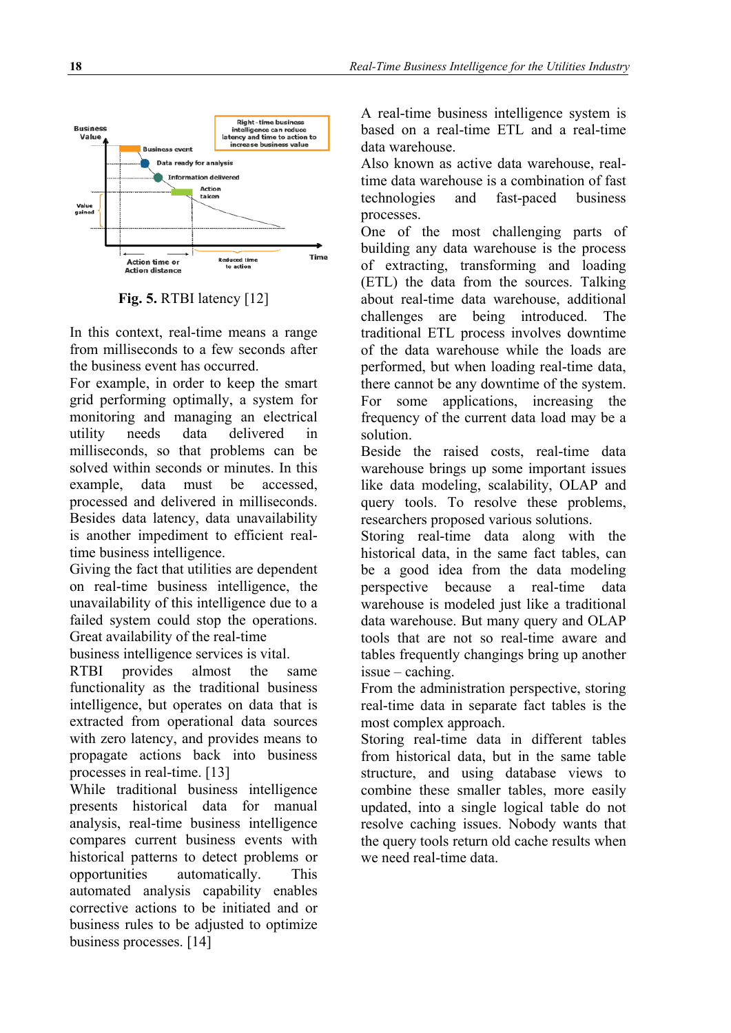

**Fig. 5.** RTBI latency [12]

In this context, real-time means a range from milliseconds to a few seconds after the business event has occurred.

For example, in order to keep the smart grid performing optimally, a system for monitoring and managing an electrical utility needs data delivered in milliseconds, so that problems can be solved within seconds or minutes. In this example, data must be accessed, processed and delivered in milliseconds. Besides data latency, data unavailability is another impediment to efficient realtime business intelligence.

Giving the fact that utilities are dependent on real-time business intelligence, the unavailability of this intelligence due to a failed system could stop the operations. Great availability of the real-time

business intelligence services is vital.

RTBI provides almost the same functionality as the traditional business intelligence, but operates on data that is extracted from operational data sources with zero latency, and provides means to propagate actions back into business processes in real-time. [13]

While traditional business intelligence presents historical data for manual analysis, real-time business intelligence compares current business events with historical patterns to detect problems or opportunities automatically. This automated analysis capability enables corrective actions to be initiated and or business rules to be adjusted to optimize business processes. [14]

A real-time business intelligence system is based on a real-time ETL and a real-time data warehouse.

Also known as active data warehouse, realtime data warehouse is a combination of fast technologies and fast-paced business processes.

One of the most challenging parts of building any data warehouse is the process of extracting, transforming and loading (ETL) the data from the sources. Talking about real-time data warehouse, additional challenges are being introduced. The traditional ETL process involves downtime of the data warehouse while the loads are performed, but when loading real-time data, there cannot be any downtime of the system. For some applications, increasing the frequency of the current data load may be a solution.

Beside the raised costs, real-time data warehouse brings up some important issues like data modeling, scalability, OLAP and query tools. To resolve these problems, researchers proposed various solutions.

Storing real-time data along with the historical data, in the same fact tables, can be a good idea from the data modeling perspective because a real-time data warehouse is modeled just like a traditional data warehouse. But many query and OLAP tools that are not so real-time aware and tables frequently changings bring up another issue – caching.

From the administration perspective, storing real-time data in separate fact tables is the most complex approach.

Storing real-time data in different tables from historical data, but in the same table structure, and using database views to combine these smaller tables, more easily updated, into a single logical table do not resolve caching issues. Nobody wants that the query tools return old cache results when we need real-time data.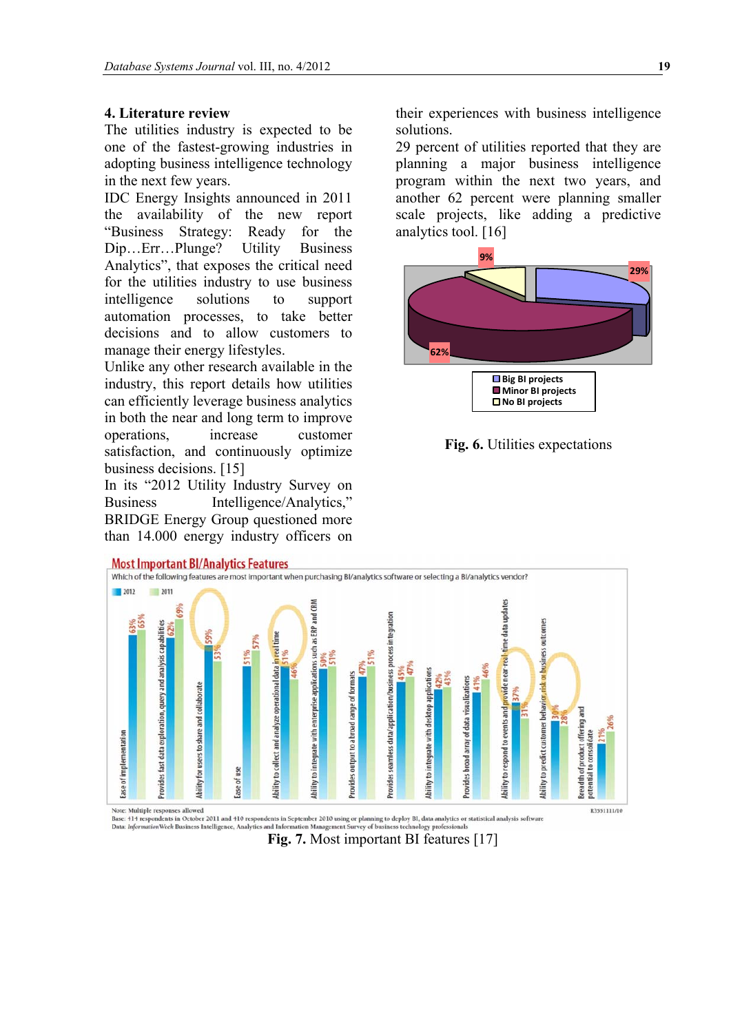#### **4. Literature review**

The utilities industry is expected to be one of the fastest-growing industries in adopting business intelligence technology in the next few years.

IDC Energy Insights announced in 2011 the availability of the new report "Business Strategy: Ready for the Dip…Err…Plunge? Utility Business Analytics", that exposes the critical need for the utilities industry to use business intelligence solutions to support automation processes, to take better decisions and to allow customers to manage their energy lifestyles.

Unlike any other research available in the industry, this report details how utilities can efficiently leverage business analytics in both the near and long term to improve operations, increase customer satisfaction, and continuously optimize business decisions. [15]

In its "2012 Utility Industry Survey on Business Intelligence/Analytics," BRIDGE Energy Group questioned more than 14.000 energy industry officers on

their experiences with business intelligence solutions.

29 percent of utilities reported that they are planning a major business intelligence program within the next two years, and another 62 percent were planning smaller scale projects, like adding a predictive analytics tool. [16]







**Fig. 7.** Most important BI features [17]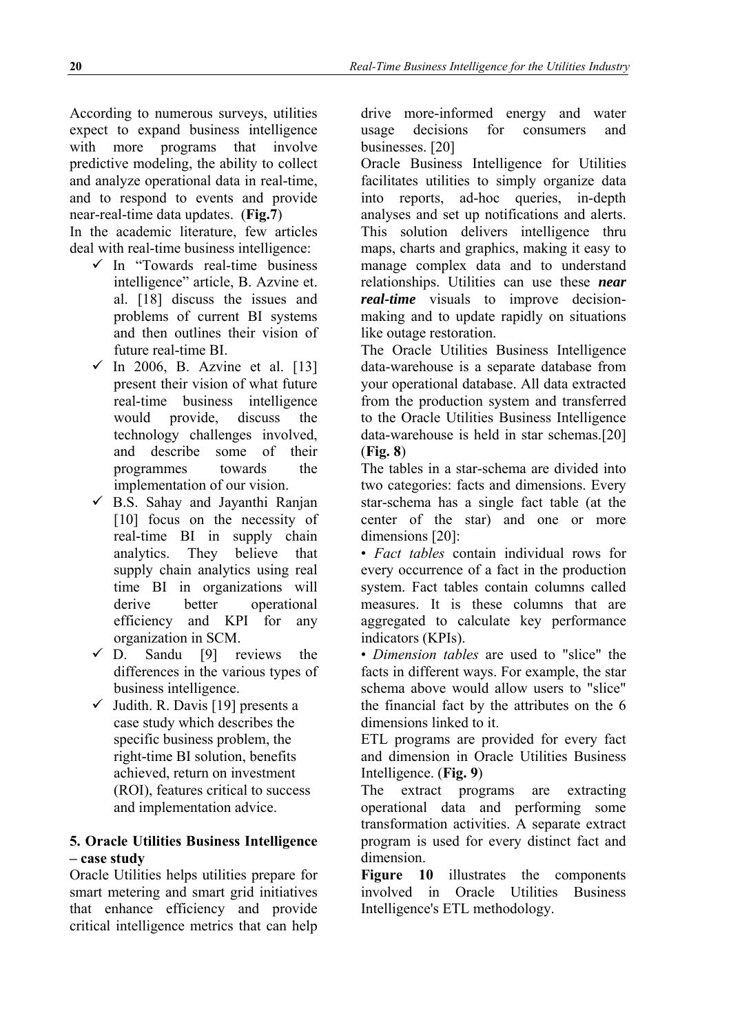According to numerous surveys, utilities expect to expand business intelligence with more programs that involve predictive modeling, the ability to collect and analyze operational data in real-time, and to respond to events and provide near-real-time data updates. (**Fig.7**)

In the academic literature, few articles deal with real-time business intelligence:

- $\checkmark$  In "Towards real-time business intelligence" article, B. Azvine et. al. [18] discuss the issues and problems of current BI systems and then outlines their vision of future real-time BI.
- $\checkmark$  In 2006, B. Azvine et al. [13] present their vision of what future real-time business intelligence would provide, discuss the technology challenges involved, and describe some of their programmes towards the implementation of our vision.
- $\checkmark$  B.S. Sahay and Jayanthi Ranjan [10] focus on the necessity of real-time BI in supply chain analytics. They believe that supply chain analytics using real time BI in organizations will derive better operational efficiency and KPI for any organization in SCM.
- $\checkmark$  D. Sandu [9] reviews the differences in the various types of business intelligence.
- $\checkmark$  Judith. R. Davis [19] presents a case study which describes the specific business problem, the right-time BI solution, benefits achieved, return on investment (ROI), features critical to success and implementation advice.

## **5. Oracle Utilities Business Intelligence – case study**

Oracle Utilities helps utilities prepare for smart metering and smart grid initiatives that enhance efficiency and provide critical intelligence metrics that can help drive more-informed energy and water usage decisions for consumers and businesses. [20]

Oracle Business Intelligence for Utilities facilitates utilities to simply organize data into reports, ad-hoc queries, in-depth analyses and set up notifications and alerts. This solution delivers intelligence thru maps, charts and graphics, making it easy to manage complex data and to understand relationships. Utilities can use these *near real-time* visuals to improve decisionmaking and to update rapidly on situations like outage restoration.

The Oracle Utilities Business Intelligence data-warehouse is a separate database from your operational database. All data extracted from the production system and transferred to the Oracle Utilities Business Intelligence data-warehouse is held in star schemas.[20] (**Fig. 8**)

The tables in a star-schema are divided into two categories: facts and dimensions. Every star-schema has a single fact table (at the center of the star) and one or more dimensions [20]:

• *Fact tables* contain individual rows for every occurrence of a fact in the production system. Fact tables contain columns called measures. It is these columns that are aggregated to calculate key performance indicators (KPIs).

• *Dimension tables* are used to "slice" the facts in different ways. For example, the star schema above would allow users to "slice" the financial fact by the attributes on the 6 dimensions linked to it.

ETL programs are provided for every fact and dimension in Oracle Utilities Business Intelligence. (**Fig. 9**)

The extract programs are extracting operational data and performing some transformation activities. A separate extract program is used for every distinct fact and dimension.

**Figure 10** illustrates the components involved in Oracle Utilities Business Intelligence's ETL methodology.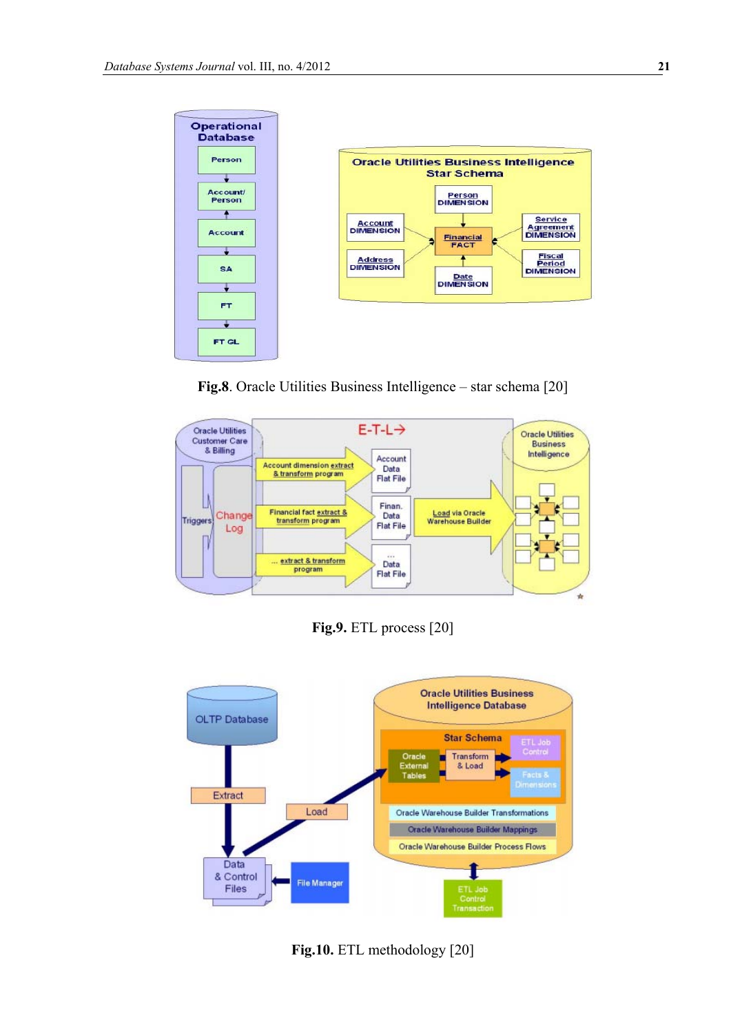

**Fig.8**. Oracle Utilities Business Intelligence – star schema [20]



**Fig.9.** ETL process [20]



**Fig.10.** ETL methodology [20]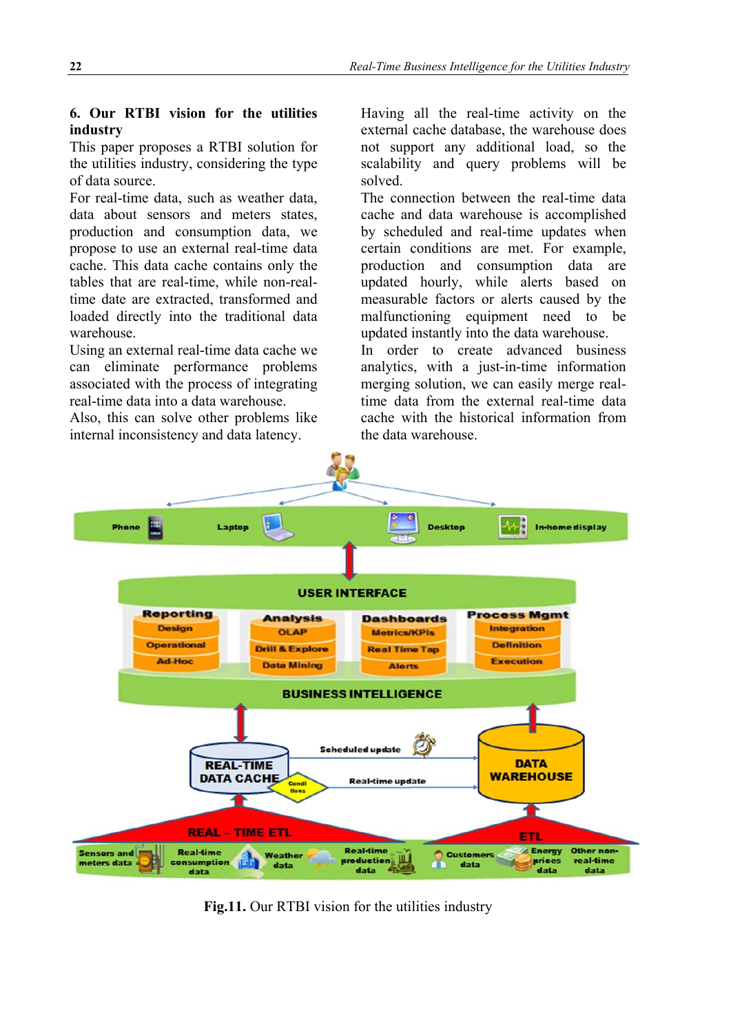## **6. Our RTBI vision for the utilities industry**

This paper proposes a RTBI solution for the utilities industry, considering the type of data source.

For real-time data, such as weather data, data about sensors and meters states, production and consumption data, we propose to use an external real-time data cache. This data cache contains only the tables that are real-time, while non-realtime date are extracted, transformed and loaded directly into the traditional data warehouse.

Using an external real-time data cache we can eliminate performance problems associated with the process of integrating real-time data into a data warehouse.

Also, this can solve other problems like internal inconsistency and data latency.

Having all the real-time activity on the external cache database, the warehouse does not support any additional load, so the scalability and query problems will be solved.

The connection between the real-time data cache and data warehouse is accomplished by scheduled and real-time updates when certain conditions are met. For example, production and consumption data are updated hourly, while alerts based on measurable factors or alerts caused by the malfunctioning equipment need to be updated instantly into the data warehouse.

In order to create advanced business analytics, with a just-in-time information merging solution, we can easily merge realtime data from the external real-time data cache with the historical information from the data warehouse.



**Fig.11.** Our RTBI vision for the utilities industry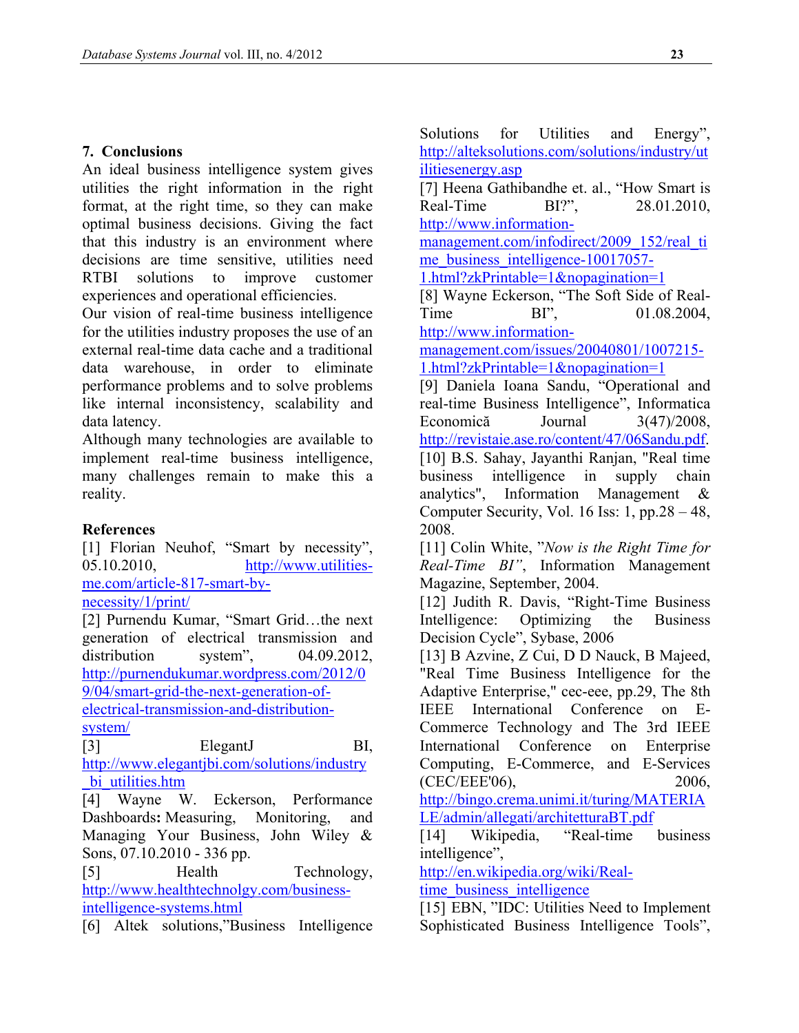## **7. Conclusions**

An ideal business intelligence system gives utilities the right information in the right format, at the right time, so they can make optimal business decisions. Giving the fact that this industry is an environment where decisions are time sensitive, utilities need RTBI solutions to improve customer experiences and operational efficiencies.

Our vision of real-time business intelligence for the utilities industry proposes the use of an external real-time data cache and a traditional data warehouse, in order to eliminate performance problems and to solve problems like internal inconsistency, scalability and data latency.

Although many technologies are available to implement real-time business intelligence, many challenges remain to make this a reality.

### **References**

[1] Florian Neuhof, "Smart by necessity", 05.10.2010, [http://www.utilities](http://www.utilities-me.com/article-817-smart-by-necessity/1/print/)[me.com/article-817-smart-by](http://www.utilities-me.com/article-817-smart-by-necessity/1/print/)[necessity/1/print/](http://www.utilities-me.com/article-817-smart-by-necessity/1/print/)

[2] Purnendu Kumar, "Smart Grid…the next generation of electrical transmission and distribution system", 04.09.2012, [http://purnendukumar.wordpress.com/2012/0](http://purnendukumar.wordpress.com/2012/09/04/smart-grid-the-next-generation-of-electrical-transmission-and-distribution-system/) [9/04/smart-grid-the-next-generation-of-](http://purnendukumar.wordpress.com/2012/09/04/smart-grid-the-next-generation-of-electrical-transmission-and-distribution-system/)

[electrical-transmission-and-distribution](http://purnendukumar.wordpress.com/2012/09/04/smart-grid-the-next-generation-of-electrical-transmission-and-distribution-system/)[system/](http://purnendukumar.wordpress.com/2012/09/04/smart-grid-the-next-generation-of-electrical-transmission-and-distribution-system/)

[3] ElegantJ BI, [http://www.elegantjbi.com/solutions/industry](http://www.elegantjbi.com/solutions/industry_bi_utilities.htm) bi\_utilities.htm

[4] Wayne W. Eckerson, Performance Dashboards**:** Measuring, Monitoring, and Managing Your Business, John Wiley & Sons, 07.10.2010 - 336 pp.

[5] Health Technology, [http://www.healthtechnolgy.com/business](http://www.healthtechnolgy.com/business-intelligence-systems.html)[intelligence-systems.html](http://www.healthtechnolgy.com/business-intelligence-systems.html)

[6] Altek solutions,"Business Intelligence

Solutions for Utilities and Energy", [http://alteksolutions.com/solutions/industry/ut](http://alteksolutions.com/solutions/industry/utilitiesenergy.asp) [ilitiesenergy.asp](http://alteksolutions.com/solutions/industry/utilitiesenergy.asp)

[7] Heena Gathibandhe et. al., "How Smart is Real-Time BI?", 28.01.2010, [http://www.information-](http://www.information-management.com/infodirect/2009_152/real_time_business_intelligence-10017057-1.html?zkPrintable=1&nopagination=1)

[management.com/infodirect/2009\\_152/real\\_ti](http://www.information-management.com/infodirect/2009_152/real_time_business_intelligence-10017057-1.html?zkPrintable=1&nopagination=1) [me\\_business\\_intelligence-10017057-](http://www.information-management.com/infodirect/2009_152/real_time_business_intelligence-10017057-1.html?zkPrintable=1&nopagination=1)

[1.html?zkPrintable=1&nopagination=1](http://www.information-management.com/infodirect/2009_152/real_time_business_intelligence-10017057-1.html?zkPrintable=1&nopagination=1)

[8] Wayne Eckerson, "The Soft Side of Real-Time BI", 01.08.2004. [http://www.information-](http://www.information-management.com/issues/20040801/1007215-1.html?zkPrintable=1&nopagination=1)

[management.com/issues/20040801/1007215-](http://www.information-management.com/issues/20040801/1007215-1.html?zkPrintable=1&nopagination=1) [1.html?zkPrintable=1&nopagination=1](http://www.information-management.com/issues/20040801/1007215-1.html?zkPrintable=1&nopagination=1)

[9] Daniela Ioana Sandu, "Operational and real-time Business Intelligence", Informatica Economică Journal 3(47)/2008, [http://revistaie.ase.ro/content/47/06Sandu.pdf.](http://revistaie.ase.ro/content/47/06Sandu.pdf) [10] B.S. Sahay, Jayanthi Ranjan, "Real time business intelligence in supply chain analytics", Information Management & Computer Security, Vol. 16 Iss: 1, pp.28 – 48, 2008.

[11] Colin White, "*Now is the Right Time for Real-Time BI"*, Information Management Magazine, September, 2004.

[12] Judith R. Davis, "Right-Time Business" Intelligence: Optimizing the Business Decision Cycle", Sybase, 2006

[13] B Azvine, Z Cui, D D Nauck, B Majeed, "Real Time Business Intelligence for the Adaptive Enterprise," cec-eee, pp.29, The 8th IEEE International Conference on E-Commerce Technology and The 3rd IEEE International Conference on Enterprise Computing, E-Commerce, and E-Services (CEC/EEE'06), 2006,

[http://bingo.crema.unimi.it/turing/MATERIA](http://bingo.crema.unimi.it/turing/MATERIALE/admin/allegati/architetturaBT.pdf) [LE/admin/allegati/architetturaBT.pdf](http://bingo.crema.unimi.it/turing/MATERIALE/admin/allegati/architetturaBT.pdf)

[14] Wikipedia, "Real-time business intelligence",

[http://en.wikipedia.org/wiki/Real](http://en.wikipedia.org/wiki/Real-time_business_intelligence)[time\\_business\\_intelligence](http://en.wikipedia.org/wiki/Real-time_business_intelligence)

[15] EBN, "IDC: Utilities Need to Implement Sophisticated Business Intelligence Tools",